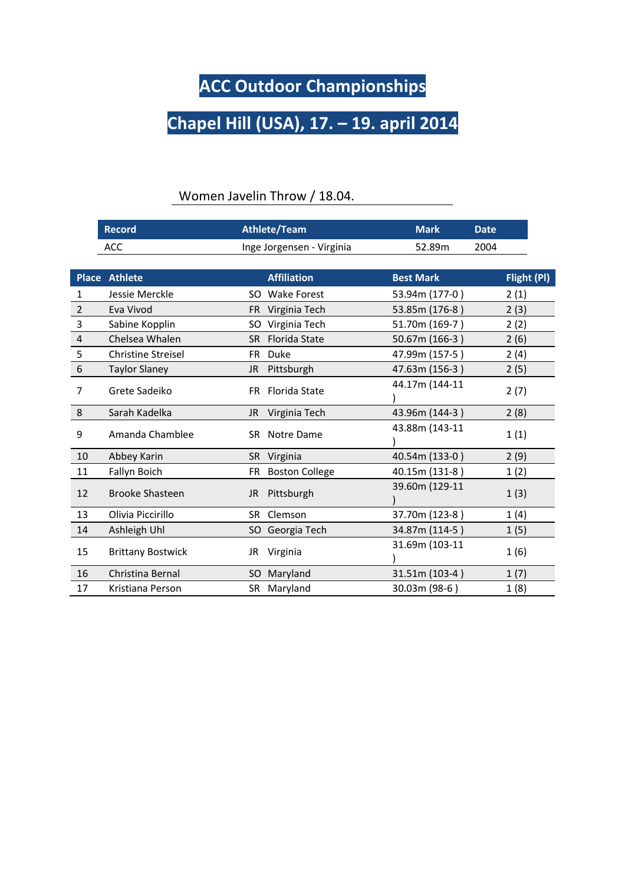## **ACC Outdoor Championships**

## **Chapel Hill (USA), 17. – 19. april 2014**

|                | <b>Record</b>             | <b>Athlete/Team</b><br><b>Mark</b> |                  | <b>Date</b> |
|----------------|---------------------------|------------------------------------|------------------|-------------|
|                | ACC                       | Inge Jorgensen - Virginia          | 52.89m           | 2004        |
|                |                           |                                    |                  |             |
| <b>Place</b>   | <b>Athlete</b>            | <b>Affiliation</b>                 | <b>Best Mark</b> | Flight (PI) |
| 1              | Jessie Merckle            | <b>Wake Forest</b><br>SO.          | 53.94m (177-0)   | 2(1)        |
| $\overline{2}$ | Eva Vivod                 | Virginia Tech<br><b>FR</b>         | 53.85m (176-8)   | 2(3)        |
| 3              | Sabine Kopplin            | Virginia Tech<br>SO.               | 51.70m (169-7)   | 2(2)        |
| 4              | Chelsea Whalen            | <b>Florida State</b><br><b>SR</b>  | 50.67m (166-3)   | 2(6)        |
| 5              | <b>Christine Streisel</b> | Duke<br><b>FR</b>                  | 47.99m (157-5)   | 2(4)        |
| 6              | <b>Taylor Slaney</b>      | Pittsburgh<br>JR.                  | 47.63m (156-3)   | 2(5)        |
| $\overline{7}$ | Grete Sadeiko             | <b>Florida State</b><br><b>FR</b>  | 44.17m (144-11   | 2(7)        |
| 8              | Sarah Kadelka             | Virginia Tech<br>JR                | 43.96m (144-3)   | 2(8)        |
| 9              | Amanda Chamblee           | Notre Dame<br>SR.                  | 43.88m (143-11   | 1(1)        |
| 10             | Abbey Karin               | Virginia<br><b>SR</b>              | 40.54m (133-0)   | 2(9)        |
| 11             | Fallyn Boich              | <b>Boston College</b><br><b>FR</b> | 40.15m (131-8)   | 1(2)        |
| 12             | <b>Brooke Shasteen</b>    | JR.<br>Pittsburgh                  | 39.60m (129-11   | 1(3)        |
| 13             | Olivia Piccirillo         | Clemson<br><b>SR</b>               | 37.70m (123-8)   | 1(4)        |
| 14             | Ashleigh Uhl              | Georgia Tech<br>SO.                | 34.87m (114-5)   | 1(5)        |
| 15             | <b>Brittany Bostwick</b>  | Virginia<br>JR                     | 31.69m (103-11   | 1(6)        |
| 16             | Christina Bernal          | Maryland<br>SO.                    | 31.51m (103-4)   | 1(7)        |
| 17             | Kristiana Person          | Maryland<br>SR                     | 30.03m (98-6)    | 1(8)        |

## Women Javelin Throw / 18.04.